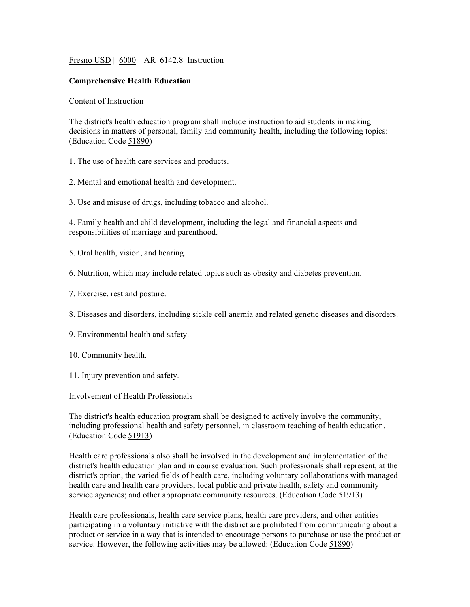Fresno USD | 6000 | AR 6142.8 Instruction

## **Comprehensive Health Education**

Content of Instruction

The district's health education program shall include instruction to aid students in making decisions in matters of personal, family and community health, including the following topics: (Education Code 51890)

1. The use of health care services and products.

2. Mental and emotional health and development.

3. Use and misuse of drugs, including tobacco and alcohol.

4. Family health and child development, including the legal and financial aspects and responsibilities of marriage and parenthood.

- 5. Oral health, vision, and hearing.
- 6. Nutrition, which may include related topics such as obesity and diabetes prevention.
- 7. Exercise, rest and posture.
- 8. Diseases and disorders, including sickle cell anemia and related genetic diseases and disorders.
- 9. Environmental health and safety.
- 10. Community health.
- 11. Injury prevention and safety.

Involvement of Health Professionals

The district's health education program shall be designed to actively involve the community, including professional health and safety personnel, in classroom teaching of health education. (Education Code 51913)

Health care professionals also shall be involved in the development and implementation of the district's health education plan and in course evaluation. Such professionals shall represent, at the district's option, the varied fields of health care, including voluntary collaborations with managed health care and health care providers; local public and private health, safety and community service agencies; and other appropriate community resources. (Education Code 51913)

Health care professionals, health care service plans, health care providers, and other entities participating in a voluntary initiative with the district are prohibited from communicating about a product or service in a way that is intended to encourage persons to purchase or use the product or service. However, the following activities may be allowed: (Education Code 51890)